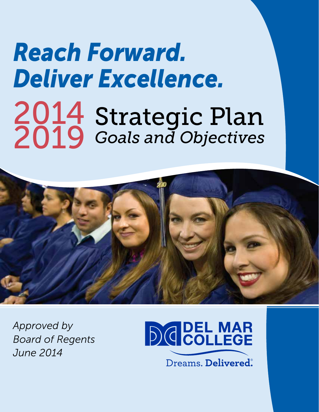# *Reach Forward. Deliver Excellence.*  <sup>2014</sup>Strategic Plan 2019 *Goals and Objectives*



*Approved by Board of Regents June 2014* 

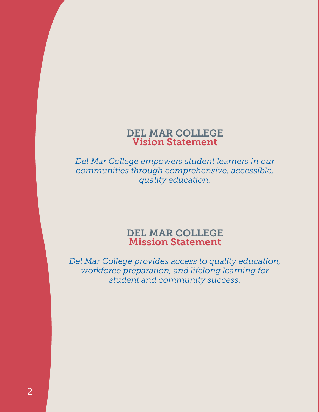## DEL MAR COLLEGE Vision Statement

*Del Mar College empowers student learners in our communities through comprehensive, accessible, quality education.* 

## DEL MAR COLLEGE Mission Statement

*Del Mar College provides access to quality education, workforce preparation, and lifelong learning for student and community success.*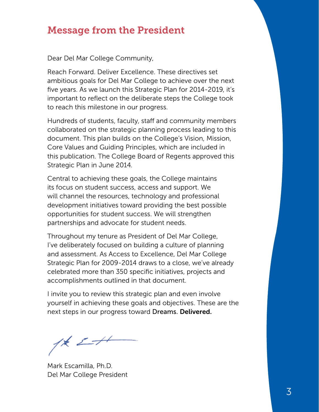## Message from the President

Dear Del Mar College Community,

Reach Forward. Deliver Excellence. These directives set ambitious goals for Del Mar College to achieve over the next five years. As we launch this Strategic Plan for 2014-2019, it's important to reflect on the deliberate steps the College took to reach this milestone in our progress.

Hundreds of students, faculty, staff and community members collaborated on the strategic planning process leading to this document. This plan builds on the College's Vision, Mission, Core Values and Guiding Principles, which are included in this publication. The College Board of Regents approved this Strategic Plan in June 2014.

Central to achieving these goals, the College maintains its focus on student success, access and support. We will channel the resources, technology and professional development initiatives toward providing the best possible opportunities for student success. We will strengthen partnerships and advocate for student needs.

Throughout my tenure as President of Del Mar College, I've deliberately focused on building a culture of planning and assessment. As Access to Excellence, Del Mar College Strategic Plan for 2009-2014 draws to a close, we've already celebrated more than 350 specific initiatives, projects and accomplishments outlined in that document.

I invite you to review this strategic plan and even involve yourself in achieving these goals and objectives. These are the next steps in our progress toward Dreams. Delivered.

 $1/k$   $2+1$ 

Mark Escamilla, Ph.D. Del Mar College President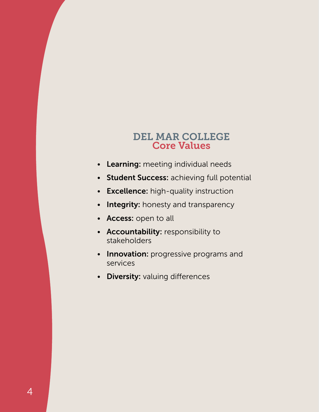## DEL MAR COLLEGE Core Values

- Learning: meeting individual needs
- Student Success: achieving full potential
- Excellence: high-quality instruction
- Integrity: honesty and transparency
- Access: open to all
- Accountability: responsibility to stakeholders
- Innovation: progressive programs and services
- Diversity: valuing differences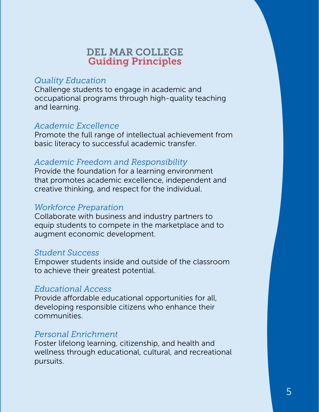## DEL MAR COLLEGE Guiding Principles

#### *Quality Education*

Challenge students to engage in academic and occupational programs through high-quality teaching and learning.

#### *Academic Excellence*

Promote the full range of intellectual achievement from basic literacy to successful academic transfer.

## *Academic Freedom and Responsibility*

Provide the foundation for a learning environment that promotes academic excellence, independent and creative thinking, and respect for the individual.

#### *Workforce Preparation*

Collaborate with business and industry partners to equip students to compete in the marketplace and to augment economic development.

#### *Student Success*

Empower students inside and outside of the classroom to achieve their greatest potential.

#### *Educational Access*

Provide affordable educational opportunities for all, developing responsible citizens who enhance their communities.

#### *Personal Enrichment*

Foster lifelong learning, citizenship, and health and wellness through educational, cultural, and recreational pursuits.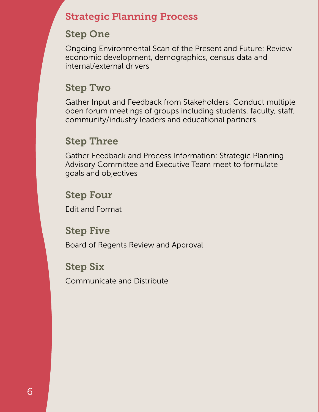# Strategic Planning Process

# Step One

Ongoing Environmental Scan of the Present and Future: Review economic development, demographics, census data and internal/external drivers

# Step Two

Gather Input and Feedback from Stakeholders: Conduct multiple open forum meetings of groups including students, faculty, staff, community/industry leaders and educational partners

# Step Three

Gather Feedback and Process Information: Strategic Planning Advisory Committee and Executive Team meet to formulate goals and objectives

# Step Four

Edit and Format

## Step Five

Board of Regents Review and Approval

# Step Six

Communicate and Distribute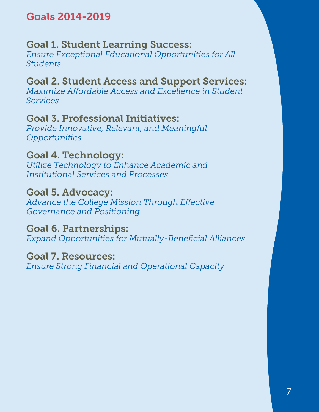# Goals 2014-2019

# Goal 1. Student Learning Success:

*Ensure Exceptional Educational Opportunities for All Students* 

# Goal 2. Student Access and Support Services:

*Maximize Affordable Access and Excellence in Student Services* 

# Goal 3. Professional Initiatives:

*Provide Innovative, Relevant, and Meaningful Opportunities* 

# Goal 4. Technology:

*Utilize Technology to Enhance Academic and Institutional Services and Processes* 

## Goal 5. Advocacy:

*Advance the College Mission Through Effective Governance and Positioning* 

## Goal 6. Partnerships:

*Expand Opportunities for Mutually-Beneficial Alliances* 

## Goal 7. Resources:

*Ensure Strong Financial and Operational Capacity*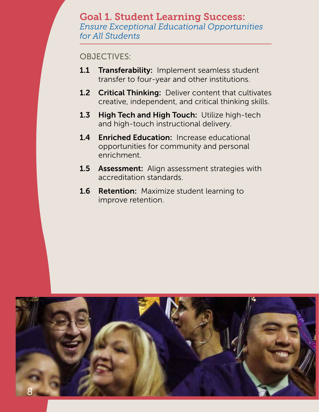#### Goal 1. Student Learning Success: *Ensure Exceptional Educational Opportunities for All Students*

- 1.1 Transferability: Implement seamless student transfer to four-year and other institutions.
- 1.2 Critical Thinking: Deliver content that cultivates creative, independent, and critical thinking skills.
- 1.3 High Tech and High Touch: Utilize high-tech and high-touch instructional delivery.
- 1.4 Enriched Education: Increase educational opportunities for community and personal enrichment.
- **1.5 Assessment:** Align assessment strategies with accreditation standards.
- 1.6 Retention: Maximize student learning to improve retention.

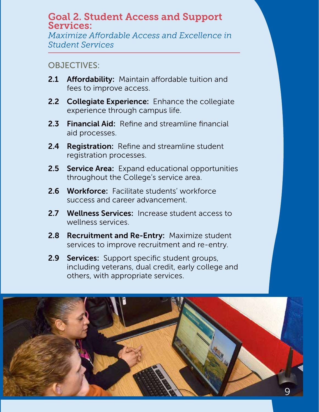## Goal 2. Student Access and Support Services:

*Maximize Affordable Access and Excellence in Student Services* 

- 2.1 Affordability: Maintain affordable tuition and fees to improve access.
- 2.2 Collegiate Experience: Enhance the collegiate experience through campus life.
- 2.3 Financial Aid: Refine and streamline financial aid processes.
- 2.4 Registration: Refine and streamline student registration processes.
- 2.5 Service Area: Expand educational opportunities throughout the College's service area.
- 2.6 Workforce: Facilitate students' workforce success and career advancement.
- 2.7 Wellness Services: Increase student access to wellness services.
- 2.8 Recruitment and Re-Entry: Maximize student services to improve recruitment and re-entry.
- 2.9 Services: Support specific student groups, including veterans, dual credit, early college and others, with appropriate services.

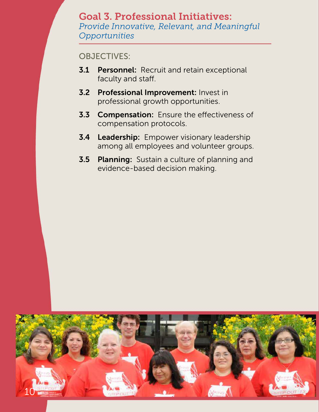## Goal 3. Professional Initiatives: *Provide Innovative, Relevant, and Meaningful Opportunities*

- **3.1 Personnel:** Recruit and retain exceptional faculty and staff.
- **3.2 Professional Improvement: Invest in** professional growth opportunities.
- **3.3 Compensation:** Ensure the effectiveness of compensation protocols.
- **3.4 Leadership:** Empower visionary leadership among all employees and volunteer groups.
- **3.5 Planning:** Sustain a culture of planning and evidence-based decision making.

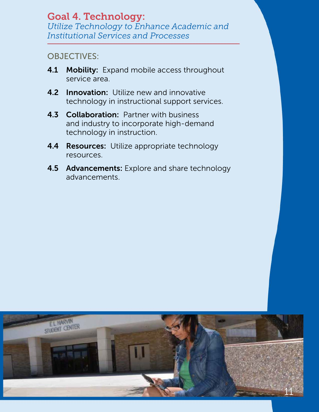## Goal 4. Technology: *Utilize Technology to Enhance Academic and Institutional Services and Processes*

- 4.1 Mobility: Expand mobile access throughout service area.
- **4.2 Innovation:** Utilize new and innovative technology in instructional support services.
- **4.3 Collaboration: Partner with business** and industry to incorporate high-demand technology in instruction.
- **4.4 Resources:** Utilize appropriate technology resources.
- **4.5 Advancements:** Explore and share technology advancements.

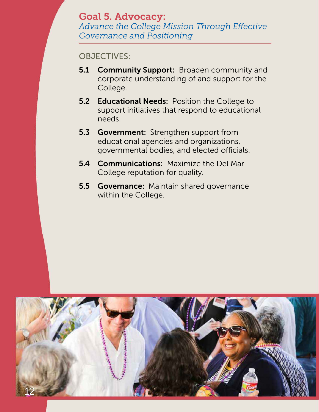## Goal 5. Advocacy: *Advance the College Mission Through Effective Governance and Positioning*

- **5.1 Community Support: Broaden community and** corporate understanding of and support for the College.
- **5.2 Educational Needs: Position the College to** support initiatives that respond to educational needs.
- 5.3 Government: Strengthen support from educational agencies and organizations, governmental bodies, and elected officials.
- **5.4 Communications:** Maximize the Del Mar College reputation for quality.
- **5.5 Governance:** Maintain shared governance within the College.

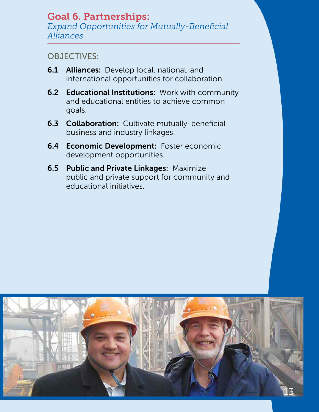#### Goal 6. Partnerships: *Expand Opportunities for Mutually-Beneficial Alliances*

- **6.1 Alliances:** Develop local, national, and international opportunities for collaboration.
- **6.2 Educational Institutions: Work with community** and educational entities to achieve common goals.
- **6.3 Collaboration:** Cultivate mutually-beneficial business and industry linkages.
- **6.4 Economic Development:** Foster economic development opportunities.
- **6.5 Public and Private Linkages: Maximize** public and private support for community and educational initiatives.

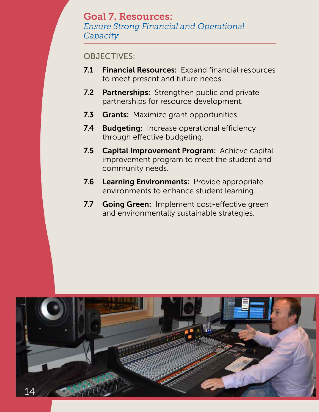## Goal 7. Resources: *Ensure Strong Financial and Operational*

*Capacity* 

- 7.1 Financial Resources: Expand financial resources to meet present and future needs.
- 7.2 Partnerships: Strengthen public and private partnerships for resource development.
- 7.3 Grants: Maximize grant opportunities.
- **7.4 Budgeting:** Increase operational efficiency through effective budgeting.
- 7.5 Capital Improvement Program: Achieve capital improvement program to meet the student and community needs.
- **7.6 Learning Environments: Provide appropriate** environments to enhance student learning.
- 7.7 Going Green: Implement cost-effective green and environmentally sustainable strategies.

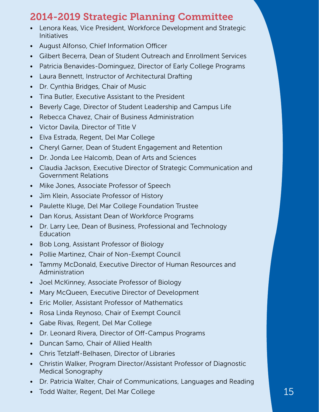# 2014-2019 Strategic Planning Committee

- Lenora Keas, Vice President, Workforce Development and Strategic Initiatives
- August Alfonso, Chief Information Officer
- Gilbert Becerra, Dean of Student Outreach and Enrollment Services
- Patricia Benavides-Dominguez, Director of Early College Programs
- Laura Bennett, Instructor of Architectural Drafting
- Dr. Cynthia Bridges, Chair of Music
- Tina Butler, Executive Assistant to the President
- Beverly Cage, Director of Student Leadership and Campus Life
- Rebecca Chavez, Chair of Business Administration
- Victor Davila, Director of Title V
- Elva Estrada, Regent, Del Mar College
- Cheryl Garner, Dean of Student Engagement and Retention
- Dr. Jonda Lee Halcomb, Dean of Arts and Sciences
- Claudia Jackson, Executive Director of Strategic Communication and Government Relations
- Mike Jones, Associate Professor of Speech
- Jim Klein, Associate Professor of History
- Paulette Kluge, Del Mar College Foundation Trustee
- Dan Korus, Assistant Dean of Workforce Programs
- Dr. Larry Lee, Dean of Business, Professional and Technology Education
- Bob Long, Assistant Professor of Biology
- Pollie Martinez, Chair of Non-Exempt Council
- Tammy McDonald, Executive Director of Human Resources and Administration
- Joel McKinney, Associate Professor of Biology
- Mary McQueen, Executive Director of Development
- Eric Moller, Assistant Professor of Mathematics
- Rosa Linda Reynoso, Chair of Exempt Council
- Gabe Rivas, Regent, Del Mar College
- Dr. Leonard Rivera, Director of Off-Campus Programs
- Duncan Samo, Chair of Allied Health
- Chris Tetzlaff-Belhasen, Director of Libraries
- Christin Walker, Program Director/Assistant Professor of Diagnostic Medical Sonography
- Dr. Patricia Walter, Chair of Communications, Languages and Reading
- Todd Walter, Regent, Del Mar College 15 and 15 and 15 and 15 and 15 and 15 and 15 and 15 and 15 and 15 and 15